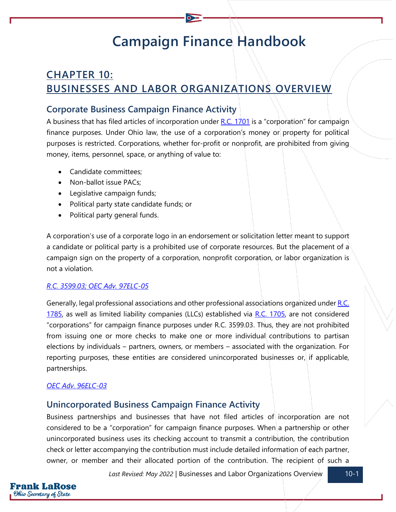# **Campaign Finance Handbook**

## **CHAPTER 10: BUSINESSES AND LABOR ORGANIZATIONS OVERVIEW**

## **Corporate Business Campaign Finance Activity**

A business that has filed articles of incorporation under [R.C. 1701](https://codes.ohio.gov/ohio-revised-code/chapter-1701) is a "corporation" for campaign finance purposes. Under Ohio law, the use of a corporation's money or property for political purposes is restricted. Corporations, whether for-profit or nonprofit, are prohibited from giving money, items, personnel, space, or anything of value to:

- Candidate committees;
- Non-ballot issue PACs:
- Legislative campaign funds;
- Political party state candidate funds; or
- Political party general funds.

A corporation's use of a corporate logo in an endorsement or solicitation letter meant to support a candidate or political party is a prohibited use of corporate resources. But the placement of a campaign sign on the property of a corporation, nonprofit corporation, or labor organization is not a violation.

#### *[R.C. 3599.03;](https://codes.ohio.gov/ohio-revised-code/section-3599.03) [OEC Adv. 97ELC-05](https://elc.ohio.gov/wps/portal/gov/elc/opinions-decisions/advisory-opinions/by-year/97-05)*

Generally, legal professional associations and other professional associations organized under R.C. [1785,](https://codes.ohio.gov/ohio-revised-code/chapter-1785) as well as limited liability companies (LLCs) established via  $R.C.$  1705, are not considered "corporations" for campaign finance purposes under R.C. 3599.03. Thus, they are not prohibited from issuing one or more checks to make one or more individual contributions to partisan elections by individuals – partners, owners, or members – associated with the organization. For reporting purposes, these entities are considered unincorporated businesses or, if applicable, partnerships.

#### *[OEC Adv. 96ELC-03](https://elc.ohio.gov/wps/portal/gov/elc/opinions-decisions/advisory-opinions/by-year/96-03)*

## **Unincorporated Business Campaign Finance Activity**

Business partnerships and businesses that have not filed articles of incorporation are not considered to be a "corporation" for campaign finance purposes. When a partnership or other unincorporated business uses its checking account to transmit a contribution, the contribution check or letter accompanying the contribution must include detailed information of each partner, owner, or member and their allocated portion of the contribution. The recipient of such a

*Last Revised: May 2022* | Businesses and Labor Organizations Overview 10-1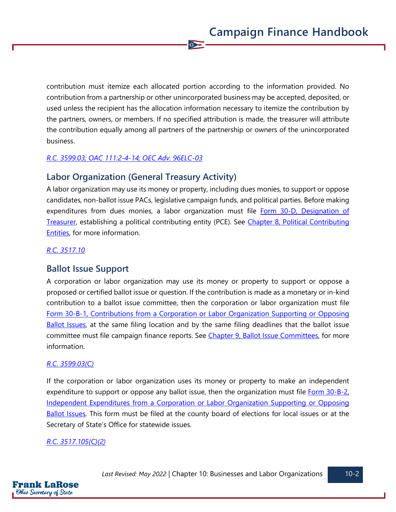contribution must itemize each allocated portion according to the information provided. No contribution from a partnership or other unincorporated business may be accepted, deposited, or used unless the recipient has the allocation information necessary to itemize the contribution by the partners, owners, or members. If no specified attribution is made, the treasurer will attribute the contribution equally among all partners of the partnership or owners of the unincorporated business.

 $\bullet$ 

#### *[R.C. 3599.03;](https://codes.ohio.gov/ohio-revised-code/section-3599.03) [OAC 111:2-4-14;](https://codes.ohio.gov/ohio-administrative-code/rule-111:2-4-14) [OEC Adv. 96ELC-03](https://elc.ohio.gov/wps/portal/gov/elc/opinions-decisions/advisory-opinions/by-year/96-03)*

## **Labor Organization (General Treasury Activity)**

A labor organization may use its money or property, including dues monies, to support or oppose candidates, non-ballot issue PACs, legislative campaign funds, and political parties. Before making expenditures from dues monies, a labor organization must file Form 30-D, Designation of [Treasurer,](https://www.ohiosos.gov/globalassets/candidates/forms/30d.pdf) establishing a political contributing entity (PCE). See [Chapter 8, Political Contributing](https://www.ohiosos.gov/globalassets/candidates/cfguide/chapters/chapter8.pdf)  [Entities,](https://www.ohiosos.gov/globalassets/candidates/cfguide/chapters/chapter8.pdf) for more information.

#### *[R.C. 3517.10](https://codes.ohio.gov/ohio-revised-code/section-3517.10)*

## **Ballot Issue Support**

A corporation or labor organization may use its money or property to support or oppose a proposed or certified ballot issue or question. If the contribution is made as a monetary or in-kind contribution to a ballot issue committee, then the corporation or labor organization must file [Form 30-B-1, Contributions from a Corporation or Labor Organization Supporting or Opposing](https://www.ohiosos.gov/globalassets/candidates/forms/30b1.pdf)  [Ballot Issues,](https://www.ohiosos.gov/globalassets/candidates/forms/30b1.pdf) at the same filing location and by the same filing deadlines that the ballot issue committee must file campaign finance reports. See [Chapter 9, Ballot Issue Committees,](https://www.ohiosos.gov/globalassets/candidates/cfguide/chapters/chapter9.pdf) for more information.

#### *[R.C. 3599.03\(C\)](https://codes.ohio.gov/ohio-revised-code/section-3599.03)*

If the corporation or labor organization uses its money or property to make an independent expenditure to support or oppose any ballot issue, then the organization must file Form 30-B-2, [Independent Expenditures from a Corporation or Labor Organization Supporting or Opposing](https://www.ohiosos.gov/globalassets/candidates/forms/30b2.pdf)  [Ballot Issues.](https://www.ohiosos.gov/globalassets/candidates/forms/30b2.pdf) This form must be filed at the county board of elections for local issues or at the Secretary of State's Office for statewide issues.

#### *[R.C. 3517.105\(C\)\(2\)](https://codes.ohio.gov/ohio-revised-code/section-3517.105)*

F**rank LaRose** Ohio Secretary of State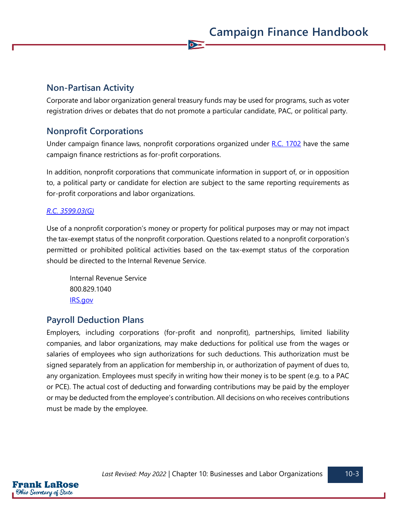## **Non-Partisan Activity**

Corporate and labor organization general treasury funds may be used for programs, such as voter registration drives or debates that do not promote a particular candidate, PAC, or political party.

 $\overline{\bullet}$ 

## **Nonprofit Corporations**

Under campaign finance laws, nonprofit corporations organized under [R.C. 1702](https://codes.ohio.gov/ohio-revised-code/chapter-1702) have the same campaign finance restrictions as for-profit corporations.

In addition, nonprofit corporations that communicate information in support of, or in opposition to, a political party or candidate for election are subject to the same reporting requirements as for-profit corporations and labor organizations.

#### *[R.C. 3599.03\(G\)](https://codes.ohio.gov/ohio-revised-code/section-3599.03)*

Use of a nonprofit corporation's money or property for political purposes may or may not impact the tax-exempt status of the nonprofit corporation. Questions related to a nonprofit corporation's permitted or prohibited political activities based on the tax-exempt status of the corporation should be directed to the Internal Revenue Service.

Internal Revenue Service 800.829.1040 [IRS.gov](https://www.irs.gov/)

## **Payroll Deduction Plans**

Employers, including corporations (for-profit and nonprofit), partnerships, limited liability companies, and labor organizations, may make deductions for political use from the wages or salaries of employees who sign authorizations for such deductions. This authorization must be signed separately from an application for membership in, or authorization of payment of dues to, any organization. Employees must specify in writing how their money is to be spent (e.g. to a PAC or PCE). The actual cost of deducting and forwarding contributions may be paid by the employer or may be deducted from the employee's contribution. All decisions on who receives contributions must be made by the employee.

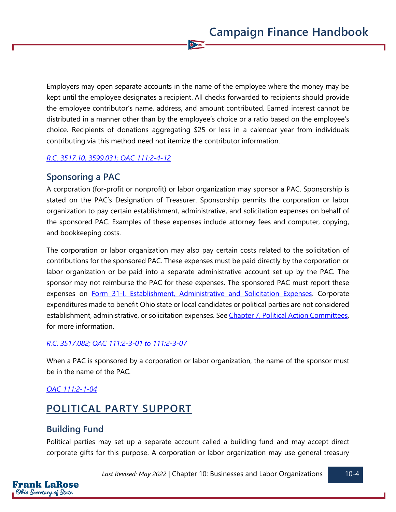Employers may open separate accounts in the name of the employee where the money may be kept until the employee designates a recipient. All checks forwarded to recipients should provide the employee contributor's name, address, and amount contributed. Earned interest cannot be distributed in a manner other than by the employee's choice or a ratio based on the employee's choice. Recipients of donations aggregating \$25 or less in a calendar year from individuals contributing via this method need not itemize the contributor information.

 $\bullet$ 

#### *[R.C. 3517.10,](https://codes.ohio.gov/ohio-revised-code/section-3517.10) [3599.031;](https://codes.ohio.gov/ohio-revised-code/section-3599.031) [OAC 111:2-4-12](https://codes.ohio.gov/ohio-administrative-code/rule-111:2-4-12)*

## **Sponsoring a PAC**

A corporation (for-profit or nonprofit) or labor organization may sponsor a PAC. Sponsorship is stated on the PAC's Designation of Treasurer. Sponsorship permits the corporation or labor organization to pay certain establishment, administrative, and solicitation expenses on behalf of the sponsored PAC. Examples of these expenses include attorney fees and computer, copying, and bookkeeping costs.

The corporation or labor organization may also pay certain costs related to the solicitation of contributions for the sponsored PAC. These expenses must be paid directly by the corporation or labor organization or be paid into a separate administrative account set up by the PAC. The sponsor may not reimburse the PAC for these expenses. The sponsored PAC must report these expenses on [Form 31-I, Establishment, Administrative and Solicitation Expenses.](https://www.ohiosos.gov/globalassets/candidates/forms/31i.pdf) Corporate expenditures made to benefit Ohio state or local candidates or political parties are not considered establishment, administrative, or solicitation expenses. See [Chapter 7, Political Action Committees,](https://www.ohiosos.gov/globalassets/candidates/cfguide/chapters/chapter7.pdf) for more information.

#### *[R.C. 3517.082;](https://codes.ohio.gov/ohio-revised-code/section-3517.082) [OAC 111:2-3-01](https://codes.ohio.gov/ohio-administrative-code/rule-111:2-3-01) to [111:2-3-07](https://codes.ohio.gov/ohio-administrative-code/rule-111:2-3-07)*

When a PAC is sponsored by a corporation or labor organization, the name of the sponsor must be in the name of the PAC.

#### *[OAC 111:2-1-04](https://codes.ohio.gov/ohio-administrative-code/rule-111:2-1-04)*

## **POLITICAL PARTY SUPPORT**

#### **Building Fund**

Frank LaRose **Ohio Secretary of State** 

Political parties may set up a separate account called a building fund and may accept direct corporate gifts for this purpose. A corporation or labor organization may use general treasury

*Last Revised: May 2022* | Chapter 10: Businesses and Labor Organizations 10-4